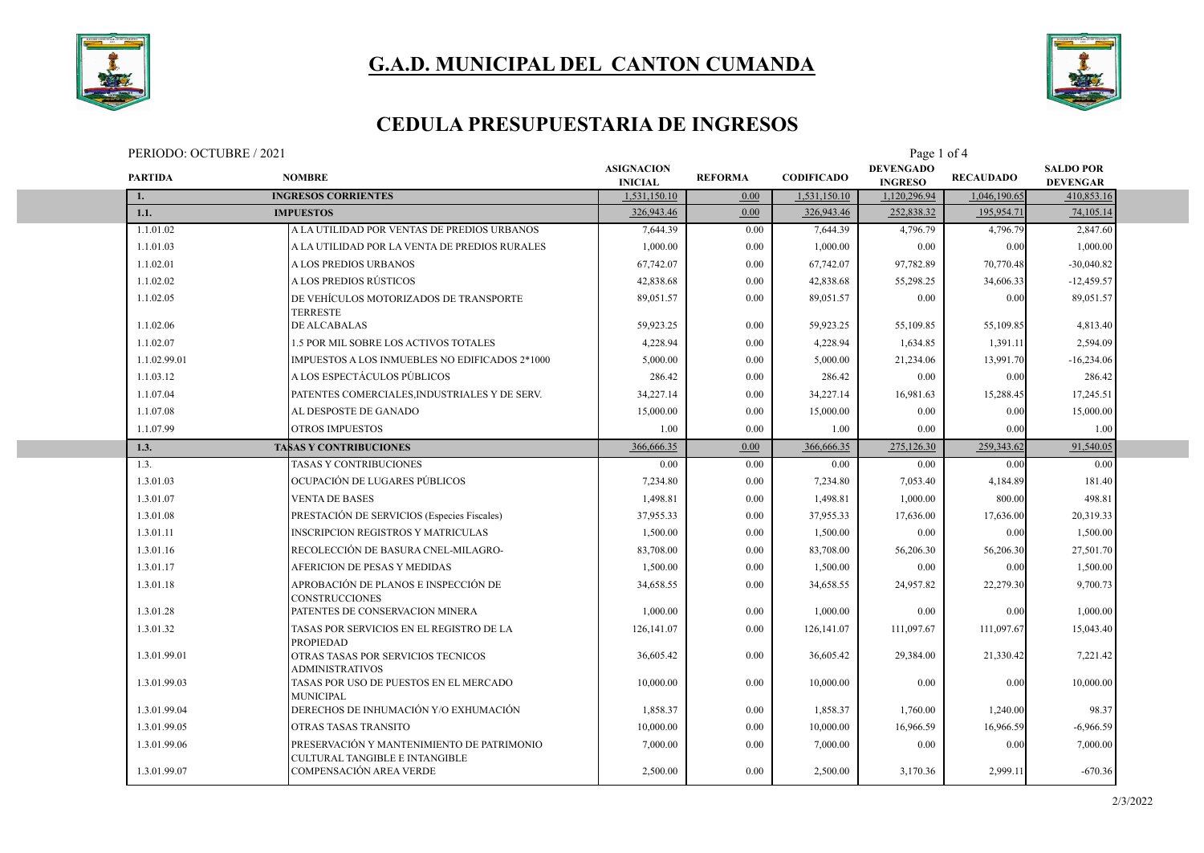



### **CEDULA PRESUPUESTARIA DE INGRESOS**

| PERIODO: OCTUBRE / 2021 | Page<br>. of 4 |
|-------------------------|----------------|
|-------------------------|----------------|

| <b>PARTIDA</b> | <b>NOMBRE</b>                                                                | <b>ASIGNACION</b><br><b>INICIAL</b> | <b>REFORMA</b> | <b>CODIFICADO</b> | <b>DEVENGADO</b><br><b>INGRESO</b> | <b>RECAUDADO</b> | <b>SALDO POR</b><br><b>DEVENGAR</b> |  |
|----------------|------------------------------------------------------------------------------|-------------------------------------|----------------|-------------------|------------------------------------|------------------|-------------------------------------|--|
|                | <b>INGRESOS CORRIENTES</b>                                                   | 1,531,150.10                        | 0.00           | 1,531,150.10      | 1,120,296.94                       | 1,046,190.65     | 410,853.16                          |  |
| 1.1.           | <b>IMPUESTOS</b>                                                             | 326,943.46                          | 0.00           | 326,943.46        | 252,838.32                         | 195,954.71       | 74,105.14                           |  |
| 1.1.01.02      | A LA UTILIDAD POR VENTAS DE PREDIOS URBANOS                                  | 7,644.39                            | 0.00           | 7,644.39          | 4,796.79                           | 4,796.79         | 2,847.60                            |  |
| 1.1.01.03      | A LA UTILIDAD POR LA VENTA DE PREDIOS RURALES                                | 1,000.00                            | 0.00           | 1,000.00          | 0.00                               | 0.00             | 1,000.00                            |  |
| 1.1.02.01      | <b>ALOS PREDIOS URBANOS</b>                                                  | 67,742.07                           | 0.00           | 67,742.07         | 97,782.89                          | 70,770.48        | $-30,040.82$                        |  |
| 1.1.02.02      | A LOS PREDIOS RÚSTICOS                                                       | 42,838.68                           | 0.00           | 42,838.68         | 55,298.25                          | 34,606.33        | $-12,459.57$                        |  |
| 1.1.02.05      | DE VEHÍCULOS MOTORIZADOS DE TRANSPORTE<br><b>TERRESTE</b>                    | 89,051.57                           | 0.00           | 89,051.57         | 0.00                               | 0.00             | 89,051.57                           |  |
| 1.1.02.06      | DE ALCABALAS                                                                 | 59,923.25                           | 0.00           | 59,923.25         | 55,109.85                          | 55,109.85        | 4,813.40                            |  |
| 1.1.02.07      | 1.5 POR MIL SOBRE LOS ACTIVOS TOTALES                                        | 4,228.94                            | 0.00           | 4,228.94          | 1,634.85                           | 1,391.11         | 2,594.09                            |  |
| 1.1.02.99.01   | IMPUESTOS A LOS INMUEBLES NO EDIFICADOS 2*1000                               | 5,000.00                            | 0.00           | 5,000.00          | 21,234.06                          | 13,991.70        | $-16,234.06$                        |  |
| 1.1.03.12      | A LOS ESPECTÁCULOS PÚBLICOS                                                  | 286.42                              | 0.00           | 286.42            | 0.00                               | 0.00             | 286.42                              |  |
| 1.1.07.04      | PATENTES COMERCIALES, INDUSTRIALES Y DE SERV.                                | 34,227.14                           | 0.00           | 34,227.14         | 16,981.63                          | 15,288.45        | 17,245.51                           |  |
| 1.1.07.08      | AL DESPOSTE DE GANADO                                                        | 15,000.00                           | 0.00           | 15,000.00         | 0.00                               | 0.00             | 15,000.00                           |  |
| 1.1.07.99      | <b>OTROS IMPUESTOS</b>                                                       | 1.00                                | 0.00           | 1.00              | 0.00                               | 0.00             | 1.00                                |  |
| 1.3.           | <b>TASAS Y CONTRIBUCIONES</b>                                                | 366,666.35                          | 0.00           | 366,666.35        | 275,126.30                         | 259,343.62       | 91,540.05                           |  |
| 1.3.           | <b>TASAS Y CONTRIBUCIONES</b>                                                | 0.00                                | 0.00           | 0.00              | 0.00                               | 0.00             | 0.00                                |  |
| 1.3.01.03      | OCUPACIÓN DE LUGARES PÚBLICOS                                                | 7,234.80                            | 0.00           | 7,234.80          | 7,053.40                           | 4,184.89         | 181.40                              |  |
| 1.3.01.07      | <b>VENTA DE BASES</b>                                                        | 1,498.81                            | 0.00           | 1,498.81          | 1,000.00                           | 800.00           | 498.81                              |  |
| 1.3.01.08      | PRESTACIÓN DE SERVICIOS (Especies Fiscales)                                  | 37,955.33                           | 0.00           | 37,955.33         | 17,636.00                          | 17,636.00        | 20,319.33                           |  |
| 1.3.01.11      | <b>INSCRIPCION REGISTROS Y MATRICULAS</b>                                    | 1,500.00                            | 0.00           | 1,500.00          | 0.00                               | 0.00             | 1,500.00                            |  |
| 1.3.01.16      | RECOLECCIÓN DE BASURA CNEL-MILAGRO-                                          | 83,708.00                           | 0.00           | 83,708.00         | 56,206.30                          | 56,206.30        | 27,501.70                           |  |
| 1.3.01.17      | AFERICION DE PESAS Y MEDIDAS                                                 | 1,500.00                            | 0.00           | 1,500.00          | 0.00                               | 0.00             | 1,500.00                            |  |
| 1.3.01.18      | APROBACIÓN DE PLANOS E INSPECCIÓN DE<br><b>CONSTRUCCIONES</b>                | 34,658.55                           | 0.00           | 34,658.55         | 24,957.82                          | 22,279.30        | 9,700.73                            |  |
| 1.3.01.28      | PATENTES DE CONSERVACION MINERA                                              | 1,000.00                            | 0.00           | 1,000.00          | 0.00                               | 0.00             | 1,000.00                            |  |
| 1.3.01.32      | TASAS POR SERVICIOS EN EL REGISTRO DE LA<br><b>PROPIEDAD</b>                 | 126,141.07                          | 0.00           | 126,141.07        | 111,097.67                         | 111,097.67       | 15,043.40                           |  |
| 1.3.01.99.01   | OTRAS TASAS POR SERVICIOS TECNICOS<br><b>ADMINISTRATIVOS</b>                 | 36,605.42                           | 0.00           | 36,605.42         | 29,384.00                          | 21,330.42        | 7,221.42                            |  |
| 1.3.01.99.03   | TASAS POR USO DE PUESTOS EN EL MERCADO<br><b>MUNICIPAL</b>                   | 10,000.00                           | 0.00           | 10,000.00         | 0.00                               | 0.00             | 10,000.00                           |  |
| 1.3.01.99.04   | DERECHOS DE INHUMACIÓN Y/O EXHUMACIÓN                                        | 1.858.37                            | 0.00           | 1,858.37          | 1,760.00                           | 1,240.00         | 98.37                               |  |
| 1.3.01.99.05   | OTRAS TASAS TRANSITO                                                         | 10,000.00                           | 0.00           | 10,000.00         | 16,966.59                          | 16,966.59        | $-6,966.59$                         |  |
| 1.3.01.99.06   | PRESERVACIÓN Y MANTENIMIENTO DE PATRIMONIO<br>CULTURAL TANGIBLE E INTANGIBLE | 7,000.00                            | 0.00           | 7,000.00          | 0.00                               | 0.00             | 7,000.00                            |  |
| 1.3.01.99.07   | COMPENSACIÓN AREA VERDE                                                      | 2,500.00                            | 0.00           | 2,500.00          | 3.170.36                           | 2.999.11         | $-670.36$                           |  |
|                |                                                                              |                                     |                |                   |                                    |                  |                                     |  |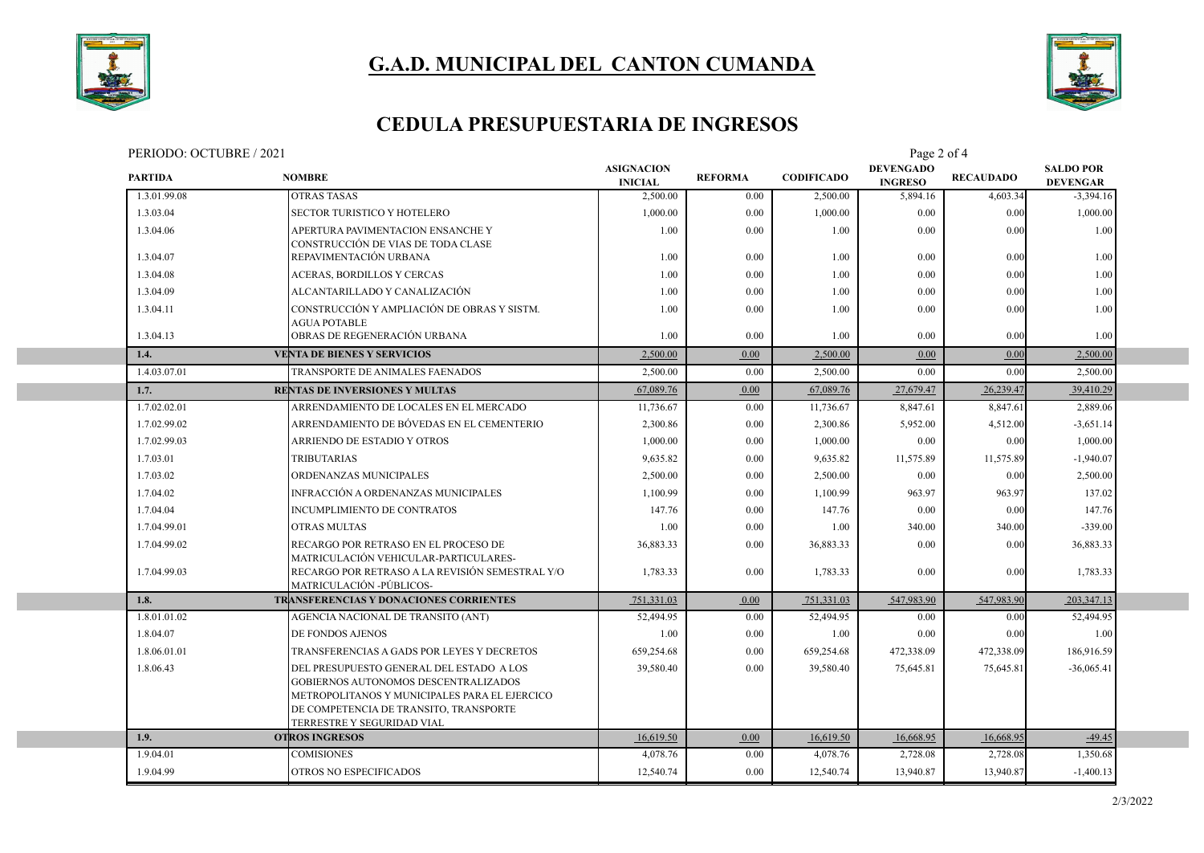



#### **CEDULA PRESUPUESTARIA DE INGRESOS**

PERIODO: OCTUBRE / 2021 Page 2 of 4

| <b>PARTIDA</b> | <b>NOMBRE</b>                                                                                                                                                                                             | <b>ASIGNACION</b><br><b>INICIAL</b> | <b>REFORMA</b> | <b>CODIFICADO</b> | $1 \mu$ <sub>5</sub> $\sigma$ $\mu$ 01 $\mu$<br><b>DEVENGADO</b><br><b>INGRESO</b> | <b>RECAUDADO</b> | <b>SALDO POR</b><br><b>DEVENGAR</b> |  |
|----------------|-----------------------------------------------------------------------------------------------------------------------------------------------------------------------------------------------------------|-------------------------------------|----------------|-------------------|------------------------------------------------------------------------------------|------------------|-------------------------------------|--|
| 1.3.01.99.08   | <b>OTRAS TASAS</b>                                                                                                                                                                                        | 2,500.00                            | 0.00           | 2,500.00          | 5,894.16                                                                           | 4,603.34         | $-3,394.16$                         |  |
| 1.3.03.04      | <b>SECTOR TURISTICO Y HOTELERO</b>                                                                                                                                                                        | 1,000.00                            | 0.00           | 1,000.00          | 0.00                                                                               | 0.00             | 1,000.00                            |  |
| 1.3.04.06      | APERTURA PAVIMENTACION ENSANCHE Y<br>CONSTRUCCIÓN DE VIAS DE TODA CLASE                                                                                                                                   | 1.00                                | 0.00           | 1.00              | 0.00                                                                               | 0.00             | 1.00                                |  |
| 1.3.04.07      | REPAVIMENTACIÓN URBANA                                                                                                                                                                                    | 1.00                                | 0.00           | 1.00              | 0.00                                                                               | 0.00             | 1.00                                |  |
| 1.3.04.08      | <b>ACERAS, BORDILLOS Y CERCAS</b>                                                                                                                                                                         | 1.00                                | 0.00           | 1.00              | 0.00                                                                               | 0.00             | 1.00                                |  |
| 1.3.04.09      | ALCANTARILLADO Y CANALIZACIÓN                                                                                                                                                                             | 1.00                                | 0.00           | 1.00              | 0.00                                                                               | 0.00             | 1.00                                |  |
| 1.3.04.11      | CONSTRUCCIÓN Y AMPLIACIÓN DE OBRAS Y SISTM.<br><b>AGUA POTABLE</b>                                                                                                                                        | 1.00                                | 0.00           | 1.00              | 0.00                                                                               | 0.00             | 1.00                                |  |
| 1.3.04.13      | OBRAS DE REGENERACIÓN URBANA                                                                                                                                                                              | 1.00                                | 0.00           | 1.00              | 0.00                                                                               | 0.00             | 1.00                                |  |
| 1.4.           | <b>VENTA DE BIENES Y SERVICIOS</b>                                                                                                                                                                        | 2,500.00                            | 0.00           | 2,500.00          | 0.00                                                                               | 0.00             | 2,500.00                            |  |
| 1.4.03.07.01   | TRANSPORTE DE ANIMALES FAENADOS                                                                                                                                                                           | 2,500.00                            | 0.00           | 2,500.00          | 0.00                                                                               | 0.00             | 2,500.00                            |  |
| 1.7.           | <b>RENTAS DE INVERSIONES Y MULTAS</b>                                                                                                                                                                     | 67,089.76                           | 0.00           | 67,089.76         | 27,679.47                                                                          | 26,239.47        | 39,410.29                           |  |
| 1.7.02.02.01   | ARRENDAMIENTO DE LOCALES EN EL MERCADO                                                                                                                                                                    | 11,736.67                           | 0.00           | 11,736.67         | 8,847.61                                                                           | 8,847.61         | 2,889.06                            |  |
| 1.7.02.99.02   | ARRENDAMIENTO DE BÓVEDAS EN EL CEMENTERIO                                                                                                                                                                 | 2,300.86                            | $0.00\,$       | 2,300.86          | 5,952.00                                                                           | 4,512.00         | $-3,651.14$                         |  |
| 1.7.02.99.03   | ARRIENDO DE ESTADIO Y OTROS                                                                                                                                                                               | 1,000.00                            | $0.00\,$       | 1,000.00          | 0.00                                                                               | 0.00             | 1,000.00                            |  |
| 1.7.03.01      | <b>TRIBUTARIAS</b>                                                                                                                                                                                        | 9,635.82                            | 0.00           | 9,635.82          | 11,575.89                                                                          | 11,575.89        | $-1,940.07$                         |  |
| 1.7.03.02      | ORDENANZAS MUNICIPALES                                                                                                                                                                                    | 2,500.00                            | 0.00           | 2,500.00          | 0.00                                                                               | 0.00             | 2,500.00                            |  |
| 1.7.04.02      | INFRACCIÓN A ORDENANZAS MUNICIPALES                                                                                                                                                                       | 1,100.99                            | 0.00           | 1,100.99          | 963.97                                                                             | 963.97           | 137.02                              |  |
| 1.7.04.04      | <b>INCUMPLIMIENTO DE CONTRATOS</b>                                                                                                                                                                        | 147.76                              | 0.00           | 147.76            | 0.00                                                                               | 0.00             | 147.76                              |  |
| 1.7.04.99.01   | <b>OTRAS MULTAS</b>                                                                                                                                                                                       | 1.00                                | 0.00           | 1.00              | 340.00                                                                             | 340.00           | $-339.00$                           |  |
| 1.7.04.99.02   | RECARGO POR RETRASO EN EL PROCESO DE<br>MATRICULACIÓN VEHICULAR-PARTICULARES-                                                                                                                             | 36,883.33                           | 0.00           | 36,883.33         | 0.00                                                                               | 0.00             | 36,883.33                           |  |
| 1.7.04.99.03   | RECARGO POR RETRASO A LA REVISIÓN SEMESTRAL Y/O<br>MATRICULACIÓN -PÚBLICOS-                                                                                                                               | 1,783.33                            | 0.00           | 1,783.33          | 0.00                                                                               | 0.00             | 1,783.33                            |  |
| 1.8.           | TRANSFERENCIAS Y DONACIONES CORRIENTES                                                                                                                                                                    | 751,331.03                          | 0.00           | 751,331.03        | 547,983.90                                                                         | 547,983.90       | 203,347.13                          |  |
| 1.8.01.01.02   | AGENCIA NACIONAL DE TRANSITO (ANT)                                                                                                                                                                        | 52,494.95                           | 0.00           | 52,494.95         | 0.00                                                                               | 0.00             | 52,494.95                           |  |
| 1.8.04.07      | DE FONDOS AJENOS                                                                                                                                                                                          | 1.00                                | 0.00           | 1.00              | 0.00                                                                               | 0.00             | 1.00                                |  |
| 1.8.06.01.01   | TRANSFERENCIAS A GADS POR LEYES Y DECRETOS                                                                                                                                                                | 659.254.68                          | 0.00           | 659,254.68        | 472,338.09                                                                         | 472,338.09       | 186,916.59                          |  |
| 1.8.06.43      | DEL PRESUPUESTO GENERAL DEL ESTADO A LOS<br>GOBIERNOS AUTONOMOS DESCENTRALIZADOS<br>METROPOLITANOS Y MUNICIPALES PARA EL EJERCICO<br>DE COMPETENCIA DE TRANSITO, TRANSPORTE<br>TERRESTRE Y SEGURIDAD VIAL | 39,580.40                           | 0.00           | 39,580.40         | 75,645.81                                                                          | 75,645.81        | $-36,065.41$                        |  |
| 1.9.           | <b>OTROS INGRESOS</b>                                                                                                                                                                                     | 16,619.50                           | 0.00           | 16,619.50         | 16,668.95                                                                          | 16,668.95        | $-49.45$                            |  |
| 1.9.04.01      | <b>COMISIONES</b>                                                                                                                                                                                         | 4,078.76                            | 0.00           | 4,078.76          | 2,728.08                                                                           | 2,728.08         | 1,350.68                            |  |
| 1.9.04.99      | OTROS NO ESPECIFICADOS                                                                                                                                                                                    | 12,540.74                           | 0.00           | 12,540.74         | 13,940.87                                                                          | 13,940.87        | $-1,400.13$                         |  |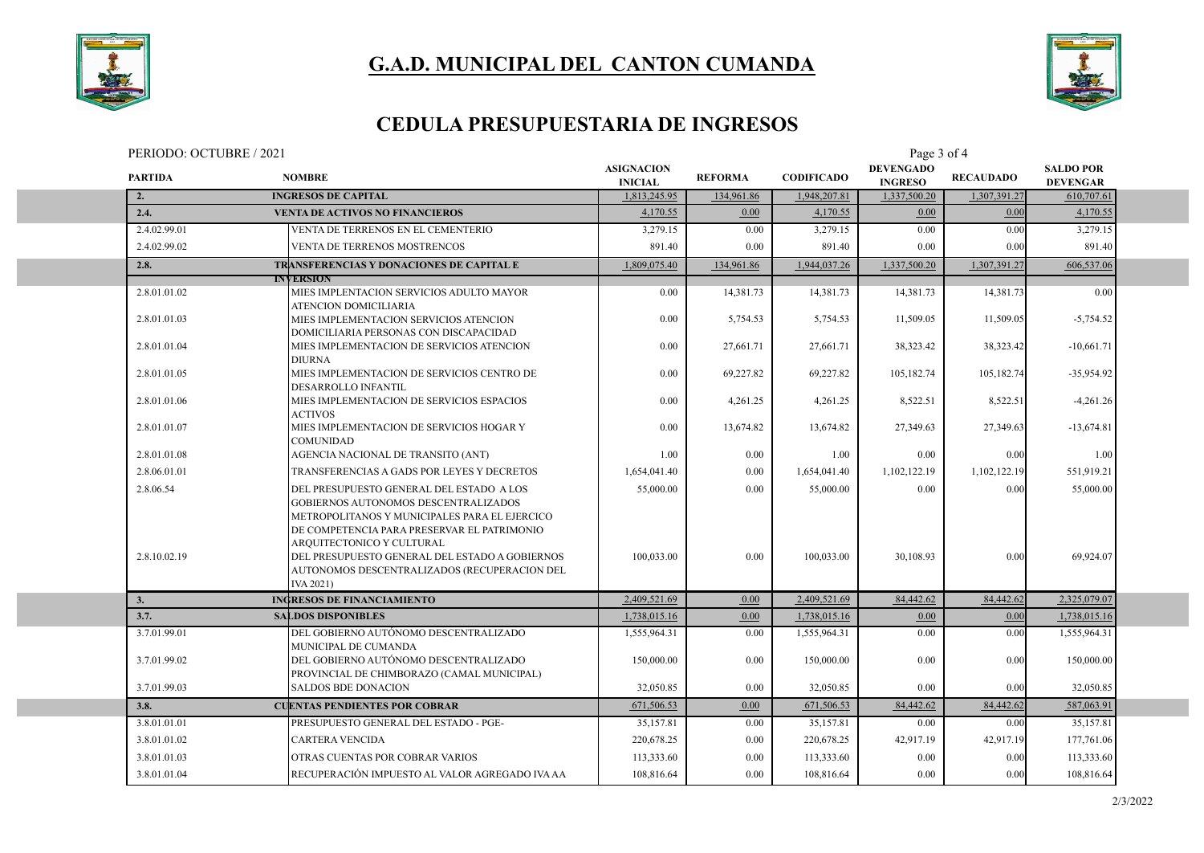



### **CEDULA PRESUPUESTARIA DE INGRESOS**

| PERIODO: OCTUBRE / 2021 |                |                                                                                                                                                                                                 |                                     | Page 3 of 4    |                   |                                    |                  |                                     |  |  |
|-------------------------|----------------|-------------------------------------------------------------------------------------------------------------------------------------------------------------------------------------------------|-------------------------------------|----------------|-------------------|------------------------------------|------------------|-------------------------------------|--|--|
|                         | <b>PARTIDA</b> | <b>NOMBRE</b>                                                                                                                                                                                   | <b>ASIGNACION</b><br><b>INICIAL</b> | <b>REFORMA</b> | <b>CODIFICADO</b> | <b>DEVENGADO</b><br><b>INGRESO</b> | <b>RECAUDADO</b> | <b>SALDO POR</b><br><b>DEVENGAR</b> |  |  |
|                         | 2.             | <b>INGRESOS DE CAPITAL</b>                                                                                                                                                                      | 1,813,245.95                        | 134,961.86     | 1,948,207.81      | 1,337,500.20                       | 1,307,391.27     | 610,707.61                          |  |  |
|                         | 2.4.           | <b>VENTA DE ACTIVOS NO FINANCIEROS</b>                                                                                                                                                          | 4,170.55                            | 0.00           | 4,170.55          | 0.00                               | 0.00             | 4,170.55                            |  |  |
|                         | 2.4.02.99.01   | VENTA DE TERRENOS EN EL CEMENTERIO                                                                                                                                                              | 3,279.15                            | 0.00           | 3,279.15          | 0.00                               | 0.00             | 3,279.15                            |  |  |
|                         | 2.4.02.99.02   | <b>VENTA DE TERRENOS MOSTRENCOS</b>                                                                                                                                                             | 891.40                              | 0.00           | 891.40            | 0.00                               | 0.00             | 891.40                              |  |  |
|                         | 2.8.           | TRANSFERENCIAS Y DONACIONES DE CAPITAL E                                                                                                                                                        | 1,809,075.40                        | 134,961.86     | 1,944,037.26      | 1,337,500.20                       | 1,307,391.27     | 606,537.06                          |  |  |
|                         |                | <b>INVERSION</b>                                                                                                                                                                                |                                     |                |                   |                                    |                  |                                     |  |  |
|                         | 2.8.01.01.02   | MIES IMPLENTACION SERVICIOS ADULTO MAYOR<br>ATENCION DOMICILIARIA                                                                                                                               | 0.00                                | 14,381.73      | 14,381.73         | 14,381.73                          | 14,381.73        | 0.00                                |  |  |
|                         | 2.8.01.01.03   | MIES IMPLEMENTACION SERVICIOS ATENCION                                                                                                                                                          | 0.00                                | 5,754.53       | 5,754.53          | 11,509.05                          | 11,509.05        | $-5,754.52$                         |  |  |
|                         | 2.8.01.01.04   | DOMICILIARIA PERSONAS CON DISCAPACIDAD<br>MIES IMPLEMENTACION DE SERVICIOS ATENCION                                                                                                             | 0.00                                | 27,661.71      | 27,661.71         | 38,323.42                          | 38,323.42        | $-10,661.71$                        |  |  |
|                         | 2.8.01.01.05   | <b>DIURNA</b><br>MIES IMPLEMENTACION DE SERVICIOS CENTRO DE<br>DESARROLLO INFANTIL                                                                                                              | 0.00                                | 69,227.82      | 69,227.82         | 105,182.74                         | 105,182.74       | $-35,954.92$                        |  |  |
|                         | 2.8.01.01.06   | MIES IMPLEMENTACION DE SERVICIOS ESPACIOS<br><b>ACTIVOS</b>                                                                                                                                     | 0.00                                | 4,261.25       | 4,261.25          | 8,522.51                           | 8,522.51         | $-4,261.26$                         |  |  |
|                         | 2.8.01.01.07   | MIES IMPLEMENTACION DE SERVICIOS HOGAR Y<br><b>COMUNIDAD</b>                                                                                                                                    | 0.00                                | 13,674.82      | 13,674.82         | 27,349.63                          | 27,349.63        | $-13,674.81$                        |  |  |
|                         | 2.8.01.01.08   | AGENCIA NACIONAL DE TRANSITO (ANT)                                                                                                                                                              | 1.00                                | 0.00           | 1.00              | 0.00                               | 0.00             | 1.00                                |  |  |
|                         | 2.8.06.01.01   | TRANSFERENCIAS A GADS POR LEYES Y DECRETOS                                                                                                                                                      | 1,654,041.40                        | 0.00           | 1,654,041.40      | 1,102,122.19                       | 1,102,122.19     | 551,919.21                          |  |  |
|                         | 2.8.06.54      | DEL PRESUPUESTO GENERAL DEL ESTADO A LOS<br>GOBIERNOS AUTONOMOS DESCENTRALIZADOS<br>METROPOLITANOS Y MUNICIPALES PARA EL EJERCICO                                                               | 55,000.00                           | 0.00           | 55,000.00         | 0.00                               | 0.00             | 55,000.00                           |  |  |
|                         | 2.8.10.02.19   | DE COMPETENCIA PARA PRESERVAR EL PATRIMONIO<br>ARQUITECTONICO Y CULTURAL<br>DEL PRESUPUESTO GENERAL DEL ESTADO A GOBIERNOS<br>AUTONOMOS DESCENTRALIZADOS (RECUPERACION DEL<br><b>IVA 2021</b> ) | 100.033.00                          | 0.00           | 100,033.00        | 30,108.93                          | 0.00             | 69,924.07                           |  |  |
|                         | 3.             | <b>INGRESOS DE FINANCIAMIENTO</b>                                                                                                                                                               | 2,409,521.69                        | 0.00           | 2,409,521.69      | 84,442.62                          | 84,442.62        | 2,325,079.07                        |  |  |
|                         | 3.7.           | <b>SALDOS DISPONIBLES</b>                                                                                                                                                                       | 1,738,015.16                        | $0.00\,$       | 1,738,015.16      | 0.00                               | 0.00             | 1,738,015.16                        |  |  |
|                         | 3.7.01.99.01   | DEL GOBIERNO AUTÓNOMO DESCENTRALIZADO<br>MUNICIPAL DE CUMANDA                                                                                                                                   | 1,555,964.31                        | $0.00\,$       | 1,555,964.31      | 0.00                               | 0.00             | 1,555,964.31                        |  |  |
|                         | 3.7.01.99.02   | DEL GOBIERNO AUTÓNOMO DESCENTRALIZADO<br>PROVINCIAL DE CHIMBORAZO (CAMAL MUNICIPAL)                                                                                                             | 150,000.00                          | 0.00           | 150,000.00        | 0.00                               | 0.00             | 150,000.00                          |  |  |
|                         | 3.7.01.99.03   | <b>SALDOS BDE DONACION</b>                                                                                                                                                                      | 32,050.85                           | 0.00           | 32,050.85         | 0.00                               | 0.00             | 32,050.85                           |  |  |
|                         | 3.8.           | <b>CUENTAS PENDIENTES POR COBRAR</b>                                                                                                                                                            | 671,506.53                          | 0.00           | 671,506.53        | 84,442.62                          | 84,442.62        | 587,063.91                          |  |  |
|                         | 3.8.01.01.01   | PRESUPUESTO GENERAL DEL ESTADO - PGE-                                                                                                                                                           | 35,157.81                           | $0.00\,$       | 35,157.81         | $0.00\,$                           | 0.00             | 35,157.81                           |  |  |
|                         | 3.8.01.01.02   | <b>CARTERA VENCIDA</b>                                                                                                                                                                          | 220,678.25                          | 0.00           | 220,678.25        | 42,917.19                          | 42,917.19        | 177,761.06                          |  |  |
|                         | 3.8.01.01.03   | OTRAS CUENTAS POR COBRAR VARIOS                                                                                                                                                                 | 113,333.60                          | $0.00\,$       | 113,333.60        | 0.00                               | 0.00             | 113,333.60                          |  |  |
|                         | 3.8.01.01.04   | RECUPERACIÓN IMPUESTO AL VALOR AGREGADO IVA AA                                                                                                                                                  | 108,816.64                          | 0.00           | 108,816.64        | 0.00                               | 0.00             | 108,816.64                          |  |  |
|                         |                |                                                                                                                                                                                                 |                                     |                |                   |                                    |                  |                                     |  |  |